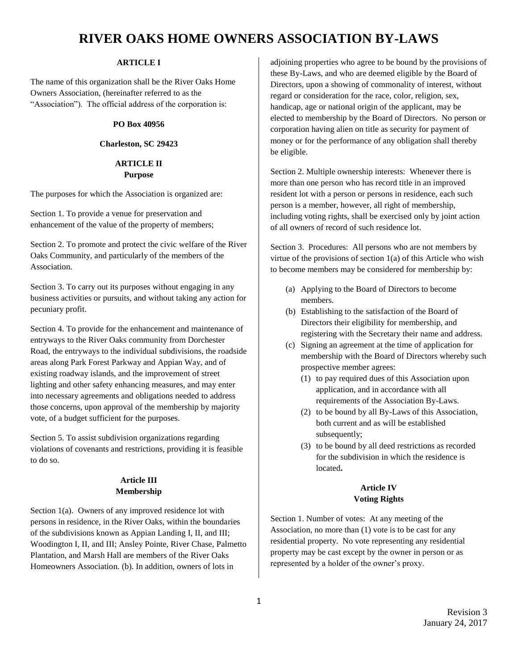#### **ARTICLE I**

The name of this organization shall be the River Oaks Home Owners Association, (hereinafter referred to as the "Association"). The official address of the corporation is:

#### **PO Box 40956**

#### **Charleston, SC 29423**

#### **ARTICLE II Purpose**

The purposes for which the Association is organized are:

Section 1. To provide a venue for preservation and enhancement of the value of the property of members;

Section 2. To promote and protect the civic welfare of the River Oaks Community, and particularly of the members of the Association.

Section 3. To carry out its purposes without engaging in any business activities or pursuits, and without taking any action for pecuniary profit.

Section 4. To provide for the enhancement and maintenance of entryways to the River Oaks community from Dorchester Road, the entryways to the individual subdivisions, the roadside areas along Park Forest Parkway and Appian Way, and of existing roadway islands, and the improvement of street lighting and other safety enhancing measures, and may enter into necessary agreements and obligations needed to address those concerns, upon approval of the membership by majority vote, of a budget sufficient for the purposes.

Section 5. To assist subdivision organizations regarding violations of covenants and restrictions, providing it is feasible to do so.

#### **Article III Membership**

Section 1(a). Owners of any improved residence lot with persons in residence, in the River Oaks, within the boundaries of the subdivisions known as Appian Landing I, II, and III; Woodington I, II, and III; Ansley Pointe, River Chase, Palmetto Plantation, and Marsh Hall are members of the River Oaks Homeowners Association. (b). In addition, owners of lots in

adjoining properties who agree to be bound by the provisions of these By-Laws, and who are deemed eligible by the Board of Directors, upon a showing of commonality of interest, without regard or consideration for the race, color, religion, sex, handicap, age or national origin of the applicant, may be elected to membership by the Board of Directors. No person or corporation having alien on title as security for payment of money or for the performance of any obligation shall thereby be eligible.

Section 2. Multiple ownership interests: Whenever there is more than one person who has record title in an improved resident lot with a person or persons in residence, each such person is a member, however, all right of membership, including voting rights, shall be exercised only by joint action of all owners of record of such residence lot.

Section 3. Procedures: All persons who are not members by virtue of the provisions of section 1(a) of this Article who wish to become members may be considered for membership by:

- (a) Applying to the Board of Directors to become members.
- (b) Establishing to the satisfaction of the Board of Directors their eligibility for membership, and registering with the Secretary their name and address.
- (c) Signing an agreement at the time of application for membership with the Board of Directors whereby such prospective member agrees:
	- (1) to pay required dues of this Association upon application, and in accordance with all requirements of the Association By-Laws.
	- (2) to be bound by all By-Laws of this Association, both current and as will be established subsequently;
	- (3) to be bound by all deed restrictions as recorded for the subdivision in which the residence is located**.**

### **Article IV Voting Rights**

Section 1. Number of votes: At any meeting of the Association, no more than (1) vote is to be cast for any residential property. No vote representing any residential property may be cast except by the owner in person or as represented by a holder of the owner's proxy.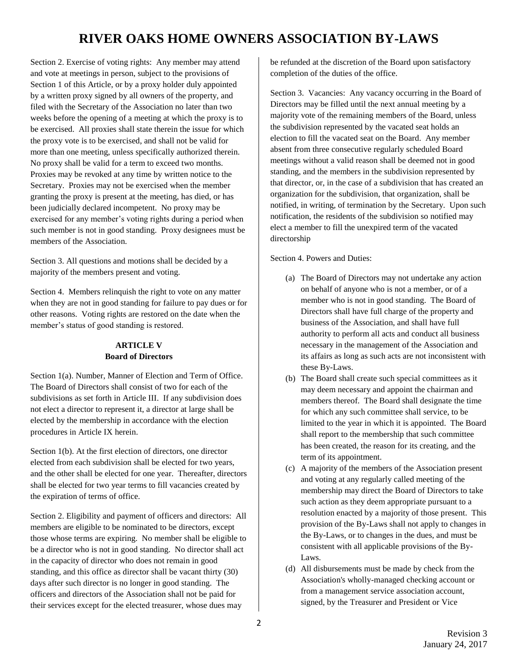Section 2. Exercise of voting rights: Any member may attend and vote at meetings in person, subject to the provisions of Section 1 of this Article, or by a proxy holder duly appointed by a written proxy signed by all owners of the property, and filed with the Secretary of the Association no later than two weeks before the opening of a meeting at which the proxy is to be exercised. All proxies shall state therein the issue for which the proxy vote is to be exercised, and shall not be valid for more than one meeting, unless specifically authorized therein. No proxy shall be valid for a term to exceed two months. Proxies may be revoked at any time by written notice to the Secretary. Proxies may not be exercised when the member granting the proxy is present at the meeting, has died, or has been judicially declared incompetent. No proxy may be exercised for any member's voting rights during a period when such member is not in good standing. Proxy designees must be members of the Association.

Section 3. All questions and motions shall be decided by a majority of the members present and voting.

Section 4. Members relinquish the right to vote on any matter when they are not in good standing for failure to pay dues or for other reasons. Voting rights are restored on the date when the member's status of good standing is restored.

### **ARTICLE V Board of Directors**

Section 1(a). Number, Manner of Election and Term of Office. The Board of Directors shall consist of two for each of the subdivisions as set forth in Article III. If any subdivision does not elect a director to represent it, a director at large shall be elected by the membership in accordance with the election procedures in Article IX herein.

Section 1(b). At the first election of directors, one director elected from each subdivision shall be elected for two years, and the other shall be elected for one year. Thereafter, directors shall be elected for two year terms to fill vacancies created by the expiration of terms of office.

Section 2. Eligibility and payment of officers and directors: All members are eligible to be nominated to be directors, except those whose terms are expiring. No member shall be eligible to be a director who is not in good standing. No director shall act in the capacity of director who does not remain in good standing, and this office as director shall be vacant thirty (30) days after such director is no longer in good standing. The officers and directors of the Association shall not be paid for their services except for the elected treasurer, whose dues may

be refunded at the discretion of the Board upon satisfactory completion of the duties of the office.

Section 3. Vacancies: Any vacancy occurring in the Board of Directors may be filled until the next annual meeting by a majority vote of the remaining members of the Board, unless the subdivision represented by the vacated seat holds an election to fill the vacated seat on the Board. Any member absent from three consecutive regularly scheduled Board meetings without a valid reason shall be deemed not in good standing, and the members in the subdivision represented by that director, or, in the case of a subdivision that has created an organization for the subdivision, that organization, shall be notified, in writing, of termination by the Secretary. Upon such notification, the residents of the subdivision so notified may elect a member to fill the unexpired term of the vacated directorship

Section 4. Powers and Duties:

- (a) The Board of Directors may not undertake any action on behalf of anyone who is not a member, or of a member who is not in good standing. The Board of Directors shall have full charge of the property and business of the Association, and shall have full authority to perform all acts and conduct all business necessary in the management of the Association and its affairs as long as such acts are not inconsistent with these By-Laws.
- (b) The Board shall create such special committees as it may deem necessary and appoint the chairman and members thereof. The Board shall designate the time for which any such committee shall service, to be limited to the year in which it is appointed. The Board shall report to the membership that such committee has been created, the reason for its creating, and the term of its appointment.
- (c) A majority of the members of the Association present and voting at any regularly called meeting of the membership may direct the Board of Directors to take such action as they deem appropriate pursuant to a resolution enacted by a majority of those present. This provision of the By-Laws shall not apply to changes in the By-Laws, or to changes in the dues, and must be consistent with all applicable provisions of the By-Laws.
- (d) All disbursements must be made by check from the Association's wholly-managed checking account or from a management service association account, signed, by the Treasurer and President or Vice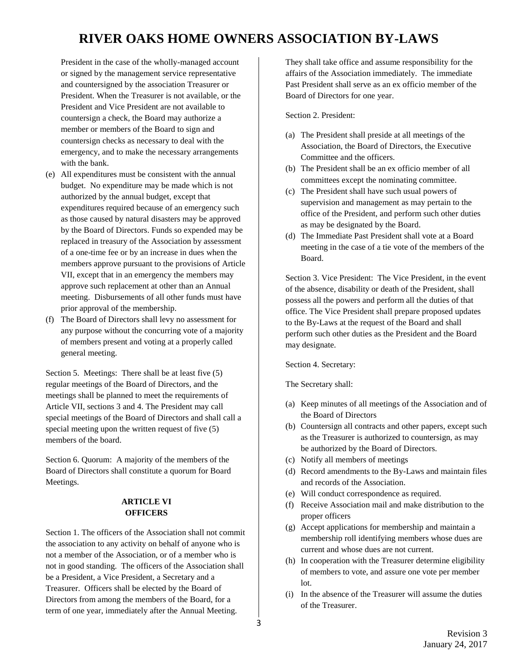President in the case of the wholly-managed account or signed by the management service representative and countersigned by the association Treasurer or President. When the Treasurer is not available, or the President and Vice President are not available to countersign a check, the Board may authorize a member or members of the Board to sign and countersign checks as necessary to deal with the emergency, and to make the necessary arrangements with the bank.

- (e) All expenditures must be consistent with the annual budget. No expenditure may be made which is not authorized by the annual budget, except that expenditures required because of an emergency such as those caused by natural disasters may be approved by the Board of Directors. Funds so expended may be replaced in treasury of the Association by assessment of a one-time fee or by an increase in dues when the members approve pursuant to the provisions of Article VII, except that in an emergency the members may approve such replacement at other than an Annual meeting. Disbursements of all other funds must have prior approval of the membership.
- (f) The Board of Directors shall levy no assessment for any purpose without the concurring vote of a majority of members present and voting at a properly called general meeting.

Section 5. Meetings: There shall be at least five (5) regular meetings of the Board of Directors, and the meetings shall be planned to meet the requirements of Article VII, sections 3 and 4. The President may call special meetings of the Board of Directors and shall call a special meeting upon the written request of five (5) members of the board.

Section 6. Quorum: A majority of the members of the Board of Directors shall constitute a quorum for Board Meetings.

#### **ARTICLE VI OFFICERS**

Section 1. The officers of the Association shall not commit the association to any activity on behalf of anyone who is not a member of the Association, or of a member who is not in good standing. The officers of the Association shall be a President, a Vice President, a Secretary and a Treasurer. Officers shall be elected by the Board of Directors from among the members of the Board, for a term of one year, immediately after the Annual Meeting.

They shall take office and assume responsibility for the affairs of the Association immediately. The immediate Past President shall serve as an ex officio member of the Board of Directors for one year.

Section 2. President:

- (a) The President shall preside at all meetings of the Association, the Board of Directors, the Executive Committee and the officers.
- (b) The President shall be an ex officio member of all committees except the nominating committee.
- (c) The President shall have such usual powers of supervision and management as may pertain to the office of the President, and perform such other duties as may be designated by the Board.
- (d) The Immediate Past President shall vote at a Board meeting in the case of a tie vote of the members of the Board.

Section 3. Vice President: The Vice President, in the event of the absence, disability or death of the President, shall possess all the powers and perform all the duties of that office. The Vice President shall prepare proposed updates to the By-Laws at the request of the Board and shall perform such other duties as the President and the Board may designate.

Section 4. Secretary:

The Secretary shall:

- (a) Keep minutes of all meetings of the Association and of the Board of Directors
- (b) Countersign all contracts and other papers, except such as the Treasurer is authorized to countersign, as may be authorized by the Board of Directors.
- (c) Notify all members of meetings
- (d) Record amendments to the By-Laws and maintain files and records of the Association.
- (e) Will conduct correspondence as required.
- (f) Receive Association mail and make distribution to the proper officers
- (g) Accept applications for membership and maintain a membership roll identifying members whose dues are current and whose dues are not current.
- (h) In cooperation with the Treasurer determine eligibility of members to vote, and assure one vote per member lot.
- (i) In the absence of the Treasurer will assume the duties of the Treasurer.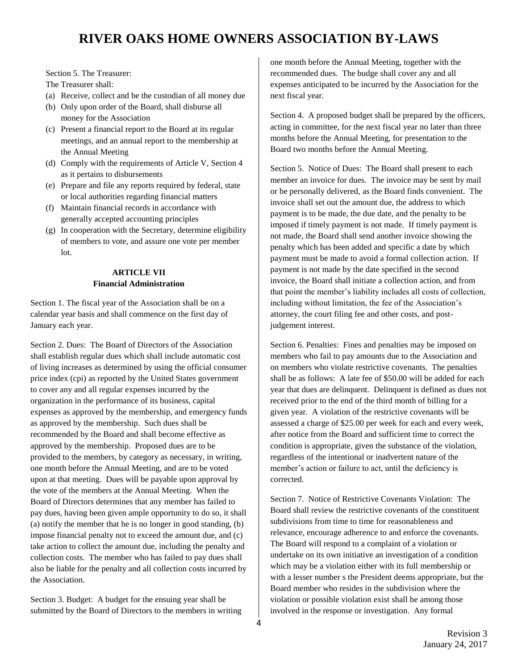Section 5. The Treasurer:

The Treasurer shall:

- (a) Receive, collect and be the custodian of all money due
- (b) Only upon order of the Board, shall disburse all money for the Association
- (c) Present a financial report to the Board at its regular meetings, and an annual report to the membership at the Annual Meeting
- (d) Comply with the requirements of Article V, Section 4 as it pertains to disbursements
- (e) Prepare and file any reports required by federal, state or local authorities regarding financial matters
- (f) Maintain financial records in accordance with generally accepted accounting principles
- (g) In cooperation with the Secretary, determine eligibility of members to vote, and assure one vote per member lot.

#### **ARTICLE VII Financial Administration**

Section 1. The fiscal year of the Association shall be on a calendar year basis and shall commence on the first day of January each year.

Section 2. Dues: The Board of Directors of the Association shall establish regular dues which shall include automatic cost of living increases as determined by using the official consumer price index (cpi) as reported by the United States government to cover any and all regular expenses incurred by the organization in the performance of its business, capital expenses as approved by the membership, and emergency funds as approved by the membership. Such dues shall be recommended by the Board and shall become effective as approved by the membership. Proposed dues are to be provided to the members, by category as necessary, in writing, one month before the Annual Meeting, and are to be voted upon at that meeting. Dues will be payable upon approval by the vote of the members at the Annual Meeting. When the Board of Directors determines that any member has failed to pay dues, having been given ample opportunity to do so, it shall (a) notify the member that he is no longer in good standing, (b) impose financial penalty not to exceed the amount due, and (c) take action to collect the amount due, including the penalty and collection costs. The member who has failed to pay dues shall also be liable for the penalty and all collection costs incurred by the Association.

Section 3. Budget: A budget for the ensuing year shall be submitted by the Board of Directors to the members in writing

one month before the Annual Meeting, together with the recommended dues. The budge shall cover any and all expenses anticipated to be incurred by the Association for the next fiscal year.

Section 4. A proposed budget shall be prepared by the officers, acting in committee, for the next fiscal year no later than three months before the Annual Meeting, for presentation to the Board two months before the Annual Meeting.

Section 5. Notice of Dues: The Board shall present to each member an invoice for dues. The invoice may be sent by mail or be personally delivered, as the Board finds convenient. The invoice shall set out the amount due, the address to which payment is to be made, the due date, and the penalty to be imposed if timely payment is not made. If timely payment is not made, the Board shall send another invoice showing the penalty which has been added and specific a date by which payment must be made to avoid a formal collection action. If payment is not made by the date specified in the second invoice, the Board shall initiate a collection action, and from that point the member's liability includes all costs of collection, including without limitation, the fee of the Association's attorney, the court filing fee and other costs, and postjudgement interest.

Section 6. Penalties: Fines and penalties may be imposed on members who fail to pay amounts due to the Association and on members who violate restrictive covenants. The penalties shall be as follows: A late fee of \$50.00 will be added for each year that dues are delinquent. Delinquent is defined as dues not received prior to the end of the third month of billing for a given year. A violation of the restrictive covenants will be assessed a charge of \$25.00 per week for each and every week, after notice from the Board and sufficient time to correct the condition is appropriate, given the substance of the violation, regardless of the intentional or inadvertent nature of the member's action or failure to act, until the deficiency is corrected.

Section 7. Notice of Restrictive Covenants Violation: The Board shall review the restrictive covenants of the constituent subdivisions from time to time for reasonableness and relevance, encourage adherence to and enforce the covenants. The Board will respond to a complaint of a violation or undertake on its own initiative an investigation of a condition which may be a violation either with its full membership or with a lesser number s the President deems appropriate, but the Board member who resides in the subdivision where the violation or possible violation exist shall be among those involved in the response or investigation. Any formal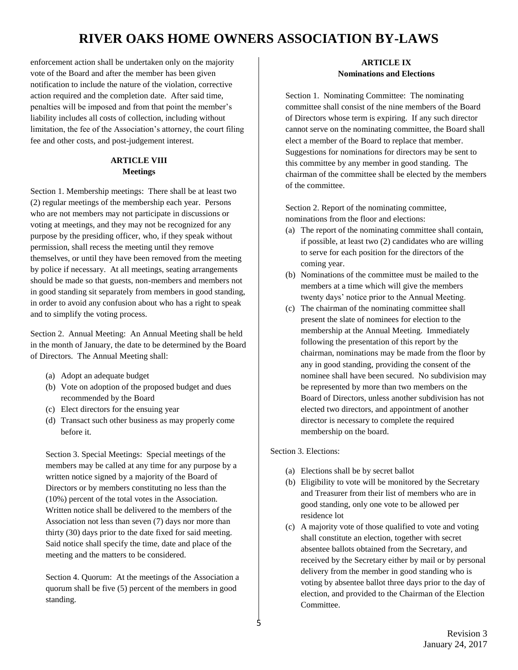enforcement action shall be undertaken only on the majority vote of the Board and after the member has been given notification to include the nature of the violation, corrective action required and the completion date. After said time, penalties will be imposed and from that point the member's liability includes all costs of collection, including without limitation, the fee of the Association's attorney, the court filing fee and other costs, and post-judgement interest.

### **ARTICLE VIII Meetings**

Section 1. Membership meetings: There shall be at least two (2) regular meetings of the membership each year. Persons who are not members may not participate in discussions or voting at meetings, and they may not be recognized for any purpose by the presiding officer, who, if they speak without permission, shall recess the meeting until they remove themselves, or until they have been removed from the meeting by police if necessary. At all meetings, seating arrangements should be made so that guests, non-members and members not in good standing sit separately from members in good standing, in order to avoid any confusion about who has a right to speak and to simplify the voting process.

Section 2. Annual Meeting: An Annual Meeting shall be held in the month of January, the date to be determined by the Board of Directors. The Annual Meeting shall:

- (a) Adopt an adequate budget
- (b) Vote on adoption of the proposed budget and dues recommended by the Board
- (c) Elect directors for the ensuing year
- (d) Transact such other business as may properly come before it.

Section 3. Special Meetings: Special meetings of the members may be called at any time for any purpose by a written notice signed by a majority of the Board of Directors or by members constituting no less than the (10%) percent of the total votes in the Association. Written notice shall be delivered to the members of the Association not less than seven (7) days nor more than thirty (30) days prior to the date fixed for said meeting. Said notice shall specify the time, date and place of the meeting and the matters to be considered.

Section 4. Quorum: At the meetings of the Association a quorum shall be five (5) percent of the members in good standing.

#### **ARTICLE IX Nominations and Elections**

Section 1. Nominating Committee: The nominating committee shall consist of the nine members of the Board of Directors whose term is expiring. If any such director cannot serve on the nominating committee, the Board shall elect a member of the Board to replace that member. Suggestions for nominations for directors may be sent to this committee by any member in good standing. The chairman of the committee shall be elected by the members of the committee.

Section 2. Report of the nominating committee, nominations from the floor and elections:

- (a) The report of the nominating committee shall contain, if possible, at least two (2) candidates who are willing to serve for each position for the directors of the coming year.
- (b) Nominations of the committee must be mailed to the members at a time which will give the members twenty days' notice prior to the Annual Meeting.
- (c) The chairman of the nominating committee shall present the slate of nominees for election to the membership at the Annual Meeting. Immediately following the presentation of this report by the chairman, nominations may be made from the floor by any in good standing, providing the consent of the nominee shall have been secured. No subdivision may be represented by more than two members on the Board of Directors, unless another subdivision has not elected two directors, and appointment of another director is necessary to complete the required membership on the board.

Section 3. Elections:

- (a) Elections shall be by secret ballot
- (b) Eligibility to vote will be monitored by the Secretary and Treasurer from their list of members who are in good standing, only one vote to be allowed per residence lot
- (c) A majority vote of those qualified to vote and voting shall constitute an election, together with secret absentee ballots obtained from the Secretary, and received by the Secretary either by mail or by personal delivery from the member in good standing who is voting by absentee ballot three days prior to the day of election, and provided to the Chairman of the Election Committee.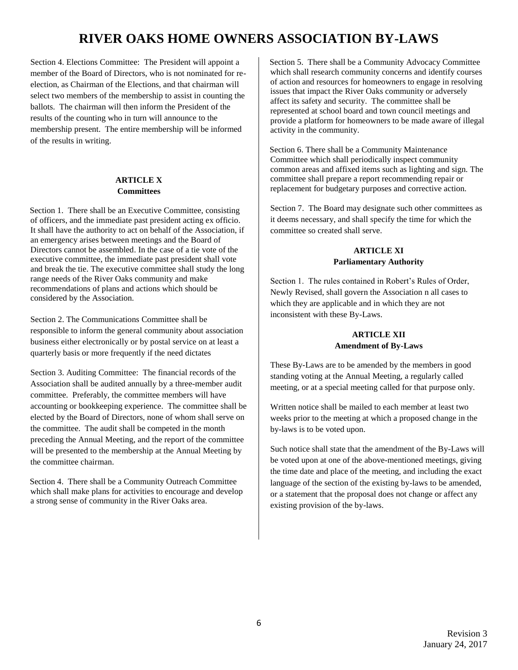Section 4. Elections Committee: The President will appoint a member of the Board of Directors, who is not nominated for reelection, as Chairman of the Elections, and that chairman will select two members of the membership to assist in counting the ballots. The chairman will then inform the President of the results of the counting who in turn will announce to the membership present. The entire membership will be informed of the results in writing.

#### **ARTICLE X Committees**

Section 1. There shall be an Executive Committee, consisting of officers, and the immediate past president acting ex officio. It shall have the authority to act on behalf of the Association, if an emergency arises between meetings and the Board of Directors cannot be assembled. In the case of a tie vote of the executive committee, the immediate past president shall vote and break the tie. The executive committee shall study the long range needs of the River Oaks community and make recommendations of plans and actions which should be considered by the Association.

Section 2. The Communications Committee shall be responsible to inform the general community about association business either electronically or by postal service on at least a quarterly basis or more frequently if the need dictates

Section 3. Auditing Committee: The financial records of the Association shall be audited annually by a three-member audit committee. Preferably, the committee members will have accounting or bookkeeping experience. The committee shall be elected by the Board of Directors, none of whom shall serve on the committee. The audit shall be competed in the month preceding the Annual Meeting, and the report of the committee will be presented to the membership at the Annual Meeting by the committee chairman.

Section 4. There shall be a Community Outreach Committee which shall make plans for activities to encourage and develop a strong sense of community in the River Oaks area.

Section 5. There shall be a Community Advocacy Committee which shall research community concerns and identify courses of action and resources for homeowners to engage in resolving issues that impact the River Oaks community or adversely affect its safety and security. The committee shall be represented at school board and town council meetings and provide a platform for homeowners to be made aware of illegal activity in the community.

Section 6. There shall be a Community Maintenance Committee which shall periodically inspect community common areas and affixed items such as lighting and sign. The committee shall prepare a report recommending repair or replacement for budgetary purposes and corrective action.

Section 7. The Board may designate such other committees as it deems necessary, and shall specify the time for which the committee so created shall serve.

### **ARTICLE XI Parliamentary Authority**

Section 1. The rules contained in Robert's Rules of Order, Newly Revised, shall govern the Association n all cases to which they are applicable and in which they are not inconsistent with these By-Laws.

### **ARTICLE XII Amendment of By-Laws**

These By-Laws are to be amended by the members in good standing voting at the Annual Meeting, a regularly called meeting, or at a special meeting called for that purpose only.

Written notice shall be mailed to each member at least two weeks prior to the meeting at which a proposed change in the by-laws is to be voted upon.

Such notice shall state that the amendment of the By-Laws will be voted upon at one of the above-mentioned meetings, giving the time date and place of the meeting, and including the exact language of the section of the existing by-laws to be amended, or a statement that the proposal does not change or affect any existing provision of the by-laws.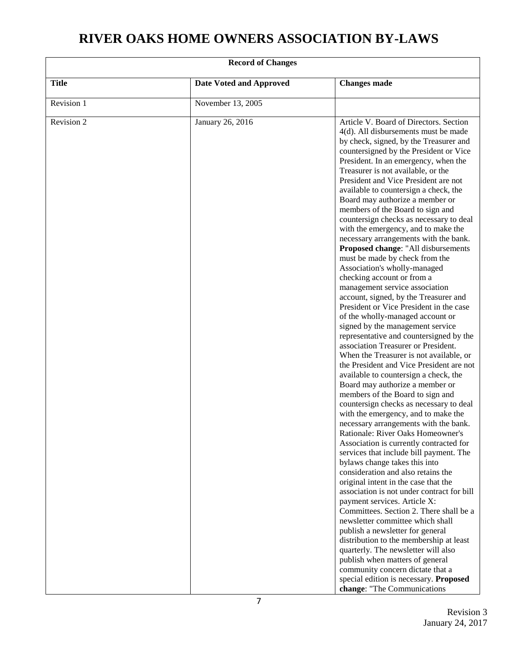| <b>Record of Changes</b> |                                |                                                                                                                                                                                                                                                                                                                                                                                                                                                                                                                                                                                                                                                                                                                                                                                                                                                                                                                                                                                                                                                                                                                                                                                                                                                                                                                                                                                                                                                                                                                                                                                                                                                                                                                                                                                                                                                                                                                                            |  |  |
|--------------------------|--------------------------------|--------------------------------------------------------------------------------------------------------------------------------------------------------------------------------------------------------------------------------------------------------------------------------------------------------------------------------------------------------------------------------------------------------------------------------------------------------------------------------------------------------------------------------------------------------------------------------------------------------------------------------------------------------------------------------------------------------------------------------------------------------------------------------------------------------------------------------------------------------------------------------------------------------------------------------------------------------------------------------------------------------------------------------------------------------------------------------------------------------------------------------------------------------------------------------------------------------------------------------------------------------------------------------------------------------------------------------------------------------------------------------------------------------------------------------------------------------------------------------------------------------------------------------------------------------------------------------------------------------------------------------------------------------------------------------------------------------------------------------------------------------------------------------------------------------------------------------------------------------------------------------------------------------------------------------------------|--|--|
| <b>Title</b>             | <b>Date Voted and Approved</b> | <b>Changes made</b>                                                                                                                                                                                                                                                                                                                                                                                                                                                                                                                                                                                                                                                                                                                                                                                                                                                                                                                                                                                                                                                                                                                                                                                                                                                                                                                                                                                                                                                                                                                                                                                                                                                                                                                                                                                                                                                                                                                        |  |  |
| Revision 1               | November 13, 2005              |                                                                                                                                                                                                                                                                                                                                                                                                                                                                                                                                                                                                                                                                                                                                                                                                                                                                                                                                                                                                                                                                                                                                                                                                                                                                                                                                                                                                                                                                                                                                                                                                                                                                                                                                                                                                                                                                                                                                            |  |  |
| Revision 2               | January 26, 2016               | Article V. Board of Directors. Section<br>4(d). All disbursements must be made<br>by check, signed, by the Treasurer and<br>countersigned by the President or Vice<br>President. In an emergency, when the<br>Treasurer is not available, or the<br>President and Vice President are not<br>available to countersign a check, the<br>Board may authorize a member or<br>members of the Board to sign and<br>countersign checks as necessary to deal<br>with the emergency, and to make the<br>necessary arrangements with the bank.<br>Proposed change: "All disbursements<br>must be made by check from the<br>Association's wholly-managed<br>checking account or from a<br>management service association<br>account, signed, by the Treasurer and<br>President or Vice President in the case<br>of the wholly-managed account or<br>signed by the management service<br>representative and countersigned by the<br>association Treasurer or President.<br>When the Treasurer is not available, or<br>the President and Vice President are not<br>available to countersign a check, the<br>Board may authorize a member or<br>members of the Board to sign and<br>countersign checks as necessary to deal<br>with the emergency, and to make the<br>necessary arrangements with the bank.<br>Rationale: River Oaks Homeowner's<br>Association is currently contracted for<br>services that include bill payment. The<br>bylaws change takes this into<br>consideration and also retains the<br>original intent in the case that the<br>association is not under contract for bill<br>payment services. Article X:<br>Committees. Section 2. There shall be a<br>newsletter committee which shall<br>publish a newsletter for general<br>distribution to the membership at least<br>quarterly. The newsletter will also<br>publish when matters of general<br>community concern dictate that a<br>special edition is necessary. Proposed |  |  |
|                          |                                | change: "The Communications                                                                                                                                                                                                                                                                                                                                                                                                                                                                                                                                                                                                                                                                                                                                                                                                                                                                                                                                                                                                                                                                                                                                                                                                                                                                                                                                                                                                                                                                                                                                                                                                                                                                                                                                                                                                                                                                                                                |  |  |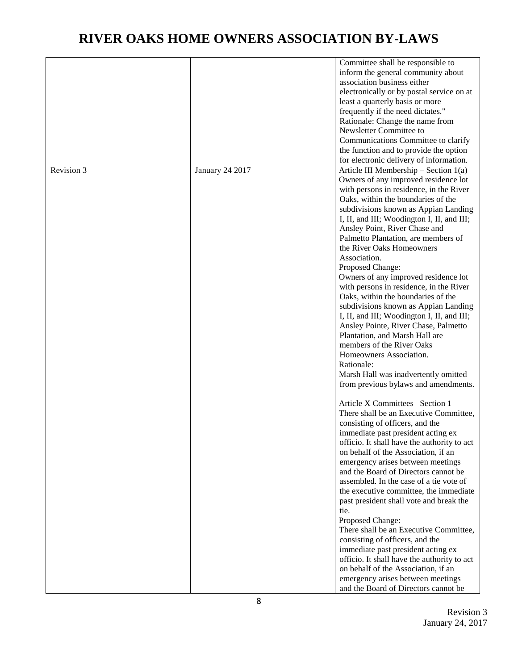|            |                        | Committee shall be responsible to           |
|------------|------------------------|---------------------------------------------|
|            |                        | inform the general community about          |
|            |                        | association business either                 |
|            |                        | electronically or by postal service on at   |
|            |                        | least a quarterly basis or more             |
|            |                        | frequently if the need dictates."           |
|            |                        | Rationale: Change the name from             |
|            |                        | Newsletter Committee to                     |
|            |                        | Communications Committee to clarify         |
|            |                        | the function and to provide the option      |
|            |                        | for electronic delivery of information.     |
| Revision 3 | <b>January 24 2017</b> | Article III Membership $-$ Section 1(a)     |
|            |                        | Owners of any improved residence lot        |
|            |                        | with persons in residence, in the River     |
|            |                        | Oaks, within the boundaries of the          |
|            |                        |                                             |
|            |                        | subdivisions known as Appian Landing        |
|            |                        | I, II, and III; Woodington I, II, and III;  |
|            |                        | Ansley Point, River Chase and               |
|            |                        | Palmetto Plantation, are members of         |
|            |                        | the River Oaks Homeowners                   |
|            |                        | Association.                                |
|            |                        | Proposed Change:                            |
|            |                        | Owners of any improved residence lot        |
|            |                        | with persons in residence, in the River     |
|            |                        | Oaks, within the boundaries of the          |
|            |                        | subdivisions known as Appian Landing        |
|            |                        | I, II, and III; Woodington I, II, and III;  |
|            |                        | Ansley Pointe, River Chase, Palmetto        |
|            |                        | Plantation, and Marsh Hall are              |
|            |                        | members of the River Oaks                   |
|            |                        | Homeowners Association.                     |
|            |                        | Rationale:                                  |
|            |                        | Marsh Hall was inadvertently omitted        |
|            |                        | from previous bylaws and amendments.        |
|            |                        | Article X Committees -Section 1             |
|            |                        | There shall be an Executive Committee,      |
|            |                        | consisting of officers, and the             |
|            |                        | immediate past president acting ex          |
|            |                        | officio. It shall have the authority to act |
|            |                        | on behalf of the Association, if an         |
|            |                        | emergency arises between meetings           |
|            |                        | and the Board of Directors cannot be        |
|            |                        | assembled. In the case of a tie vote of     |
|            |                        | the executive committee, the immediate      |
|            |                        | past president shall vote and break the     |
|            |                        | tie.                                        |
|            |                        | Proposed Change:                            |
|            |                        | There shall be an Executive Committee,      |
|            |                        | consisting of officers, and the             |
|            |                        | immediate past president acting ex          |
|            |                        | officio. It shall have the authority to act |
|            |                        | on behalf of the Association, if an         |
|            |                        | emergency arises between meetings           |
|            |                        | and the Board of Directors cannot be        |